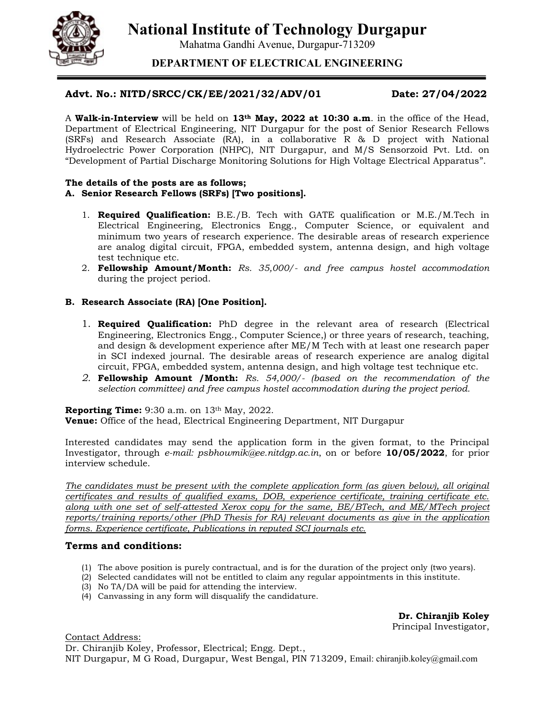**National Institute of Technology Durgapur**

Mahatma Gandhi Avenue, Durgapur-713209

**DEPARTMENT OF ELECTRICAL ENGINEERING**

# **Advt. No.: NITD/SRCC/CK/EE/2021/32/ADV/01 Date: 27/04/2022**

A **Walk-in-Interview** will be held on **13th May, 2022 at 10:30 a.m**. in the office of the Head, Department of Electrical Engineering, NIT Durgapur for the post of Senior Research Fellows (SRFs) and Research Associate (RA), in a collaborative R & D project with National Hydroelectric Power Corporation (NHPC), NIT Durgapur, and M/S Sensorzoid Pvt. Ltd. on "Development of Partial Discharge Monitoring Solutions for High Voltage Electrical Apparatus".

#### **The details of the posts are as follows; A. Senior Research Fellows (SRFs) [Two positions].**

- 1. **Required Qualification:** B.E./B. Tech with GATE qualification or M.E./M.Tech in Electrical Engineering, Electronics Engg., Computer Science, or equivalent and minimum two years of research experience. The desirable areas of research experience are analog digital circuit, FPGA, embedded system, antenna design, and high voltage test technique etc.
- 2. **Fellowship Amount/Month:** *Rs. 35,000/- and free campus hostel accommodation*  during the project period.

## **B. Research Associate (RA) [One Position].**

- 1. **Required Qualification:** PhD degree in the relevant area of research (Electrical Engineering, Electronics Engg., Computer Science,) or three years of research, teaching, and design & development experience after ME/M Tech with at least one research paper in SCI indexed journal. The desirable areas of research experience are analog digital circuit, FPGA, embedded system, antenna design, and high voltage test technique etc.
- *2.* **Fellowship Amount /Month:** *Rs. 54,000/- (based on the recommendation of the selection committee) and free campus hostel accommodation during the project period.*

**Reporting Time:** 9:30 a.m. on 13<sup>th</sup> May, 2022.

**Venue:** Office of the head, Electrical Engineering Department, NIT Durgapur

Interested candidates may send the application form in the given format, to the Principal Investigator, through *e-mail: psbhowmik@ee.nitdgp.ac.in*, on or before **10/05/2022**, for prior interview schedule.

*The candidates must be present with the complete application form (as given below), all original certificates and results of qualified exams, DOB, experience certificate, training certificate etc. along with one set of self-attested Xerox copy for the same, BE/BTech, and ME/MTech project reports/training reports/other (PhD Thesis for RA) relevant documents as give in the application forms. Experience certificate, Publications in reputed SCI journals etc.* 

### **Terms and conditions:**

- (1) The above position is purely contractual, and is for the duration of the project only (two years).
- (2) Selected candidates will not be entitled to claim any regular appointments in this institute.
- (3) No TA/DA will be paid for attending the interview.
- (4) Canvassing in any form will disqualify the candidature.

**Dr. Chiranjib Koley** Principal Investigator,

Contact Address:

Dr. Chiranjib Koley, Professor, Electrical; Engg. Dept., NIT Durgapur, M G Road, Durgapur, West Bengal, PIN 713209, Email: chiranjib.koley@gmail.com